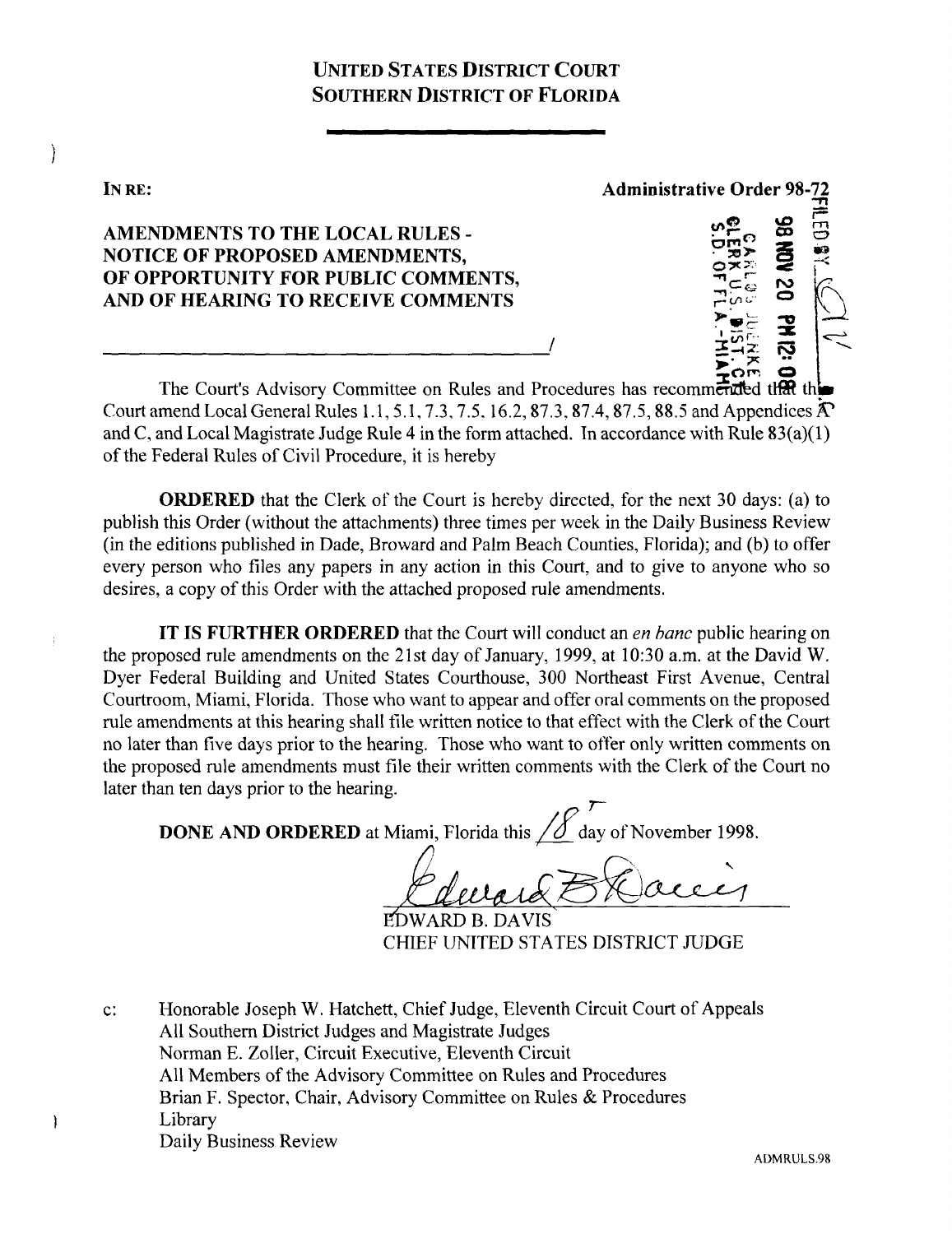## UNITED STATES DISTRICT COURT SOUTHERN DISTRICT OF FLORIDA

IN RE:

 $\Big)$ 

-1

AMENDMENTS TO THE LOCAL RULES - NOTICE OF PROPOSED AMENDMENTS,

OF OPPORTUNITY FOR PUBLIC COMMENTS, AND OF HEARING TO RECEIVE COMMENTS

**-r1** w **Administrative** Order 98-72

The Court's Advisory Committee on Rules and Procedures has recommended that the Court amend Local General Rules 1.1, 5.1, 7.3, 7.5, 16.2, 87.3, 87.4, 87.5, 88.5 and Appendices  $\hat{A}$ and C, and Local Magistrate Judge Rule 4 in the form attached. In accordance with Rule  $83(a)(1)$ of the Federal Rules of Civil Procedure, it is hereby

**ORDERED** that the Clerk of the Court is hereby directed, for the next 30 days: (a) to publish this Order (without the attachments) three times per week in the Daily Business Review (in the editions published in Dade, Broward and Palm Beach Counties, Florida); and (b) to offer every person who files any papers in any action in this Court, and to give to anyone who so desires, a copy of this Order with the attached proposed rule amendments.

IT IS FURTHER **ORDERED** that the Court will conduct an *en Banc* public hearing on the proposed rule amendments on the 21st day of January, 1999, at 10 :30 a.m. at the David W. Dyer Federal Building and United States Courthouse, 300 Northeast First Avenue, Central Courtroom, Miami, Florida. Those who want to appear and offer oral comments on the proposed rule amendments at this hearing shall file written notice to that effect with the Clerk of the Court no later than five days prior to the hearing. Those who want to offer only written comments on the proposed rule amendments must file their written comments with the Clerk of the Court no later than ten days prior to the hearing.

**DONE AND ORDERED** at Miami, Florida this  $\angle \textcircled{f}$  day of November 1998.

**EDWARD B. DAVIS** CHIEF UNITED STATES DISTRICT JUDGE

c: Honorable Joseph W. Hatchett, Chief Judge, Eleventh Circuit Court of Appeals All Southern District Judges and Magistrate Judges Norman E. Zoller, Circuit Executive, Eleventh Circuit All Members of the Advisory Committee on Rules and Procedures Brian F. Spector, Chair, Advisory Committee on Rules & Procedures Library Daily Business Review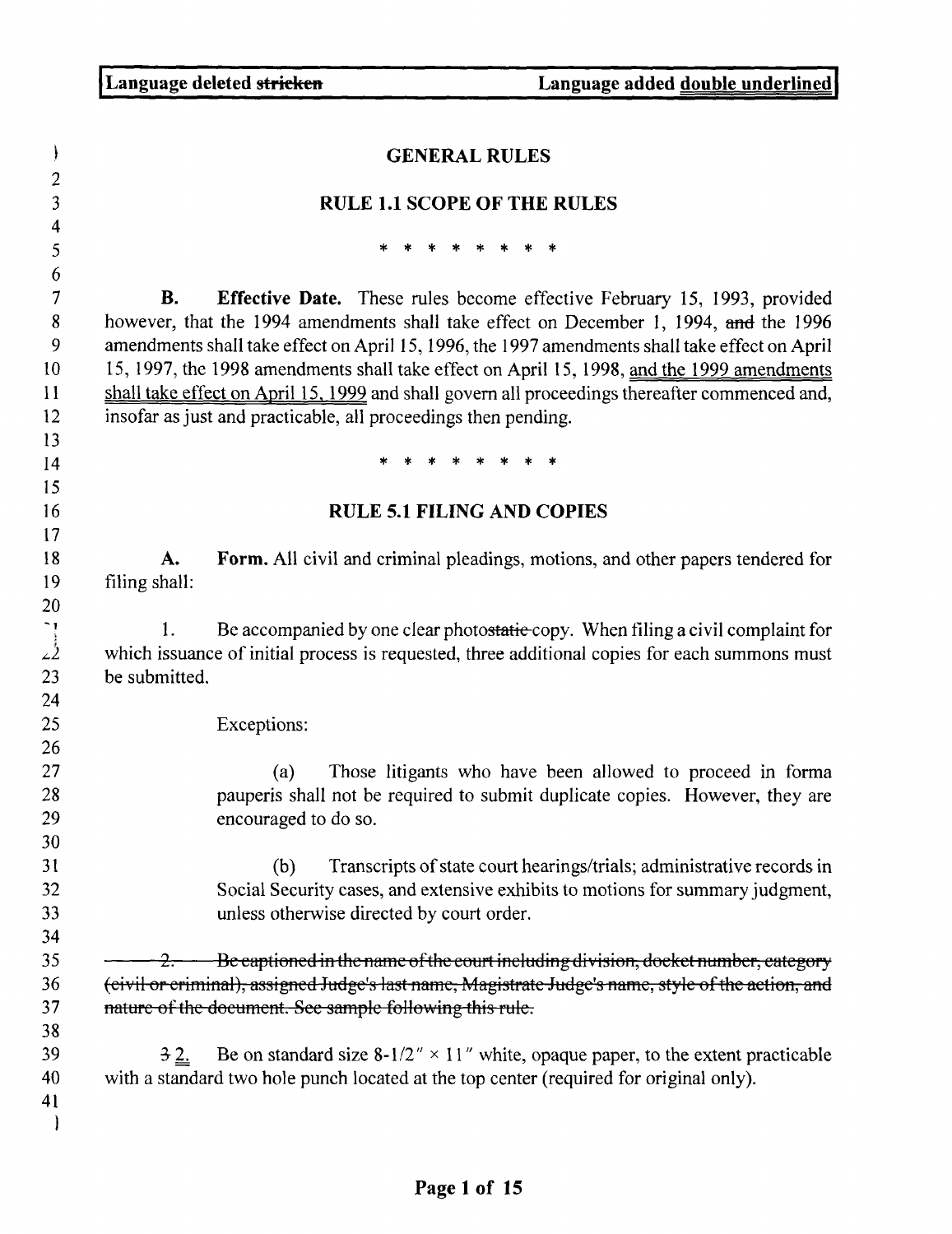|                     | <b>GENERAL RULES</b>                                                                                                                                                                                                                                                                                                                                                                                                                                                                                                                         |
|---------------------|----------------------------------------------------------------------------------------------------------------------------------------------------------------------------------------------------------------------------------------------------------------------------------------------------------------------------------------------------------------------------------------------------------------------------------------------------------------------------------------------------------------------------------------------|
|                     | <b>RULE 1.1 SCOPE OF THE RULES</b>                                                                                                                                                                                                                                                                                                                                                                                                                                                                                                           |
|                     | * * * * * * *                                                                                                                                                                                                                                                                                                                                                                                                                                                                                                                                |
|                     |                                                                                                                                                                                                                                                                                                                                                                                                                                                                                                                                              |
| <b>B.</b>           | <b>Effective Date.</b> These rules become effective February 15, 1993, provided<br>however, that the 1994 amendments shall take effect on December 1, 1994, and the 1996<br>amendments shall take effect on April 15, 1996, the 1997 amendments shall take effect on April<br>15, 1997, the 1998 amendments shall take effect on April 15, 1998, and the 1999 amendments<br>shall take effect on April 15, 1999 and shall govern all proceedings thereafter commenced and,<br>insofar as just and practicable, all proceedings then pending. |
|                     | * * * * * * *                                                                                                                                                                                                                                                                                                                                                                                                                                                                                                                                |
|                     | <b>RULE 5.1 FILING AND COPIES</b>                                                                                                                                                                                                                                                                                                                                                                                                                                                                                                            |
|                     |                                                                                                                                                                                                                                                                                                                                                                                                                                                                                                                                              |
| A.<br>filing shall: | <b>Form.</b> All civil and criminal pleadings, motions, and other papers tendered for                                                                                                                                                                                                                                                                                                                                                                                                                                                        |
| 1.<br>be submitted. | Be accompanied by one clear photostatic copy. When filing a civil complaint for<br>which issuance of initial process is requested, three additional copies for each summons must                                                                                                                                                                                                                                                                                                                                                             |
|                     | Exceptions:                                                                                                                                                                                                                                                                                                                                                                                                                                                                                                                                  |
|                     | Those litigants who have been allowed to proceed in forma<br>(a)<br>pauperis shall not be required to submit duplicate copies. However, they are<br>encouraged to do so.                                                                                                                                                                                                                                                                                                                                                                     |
|                     | Transcripts of state court hearings/trials; administrative records in<br>(b)<br>Social Security cases, and extensive exhibits to motions for summary judgment,<br>unless otherwise directed by court order.                                                                                                                                                                                                                                                                                                                                  |
|                     | $2.$ Be eaptioned in the name of the court including division, doeket number, eategory                                                                                                                                                                                                                                                                                                                                                                                                                                                       |
|                     | (civil or criminal), assigned Judge's last name, Magistrate Judge's name, style of the action, and                                                                                                                                                                                                                                                                                                                                                                                                                                           |
|                     | nature of the document. See sample following this rule.                                                                                                                                                                                                                                                                                                                                                                                                                                                                                      |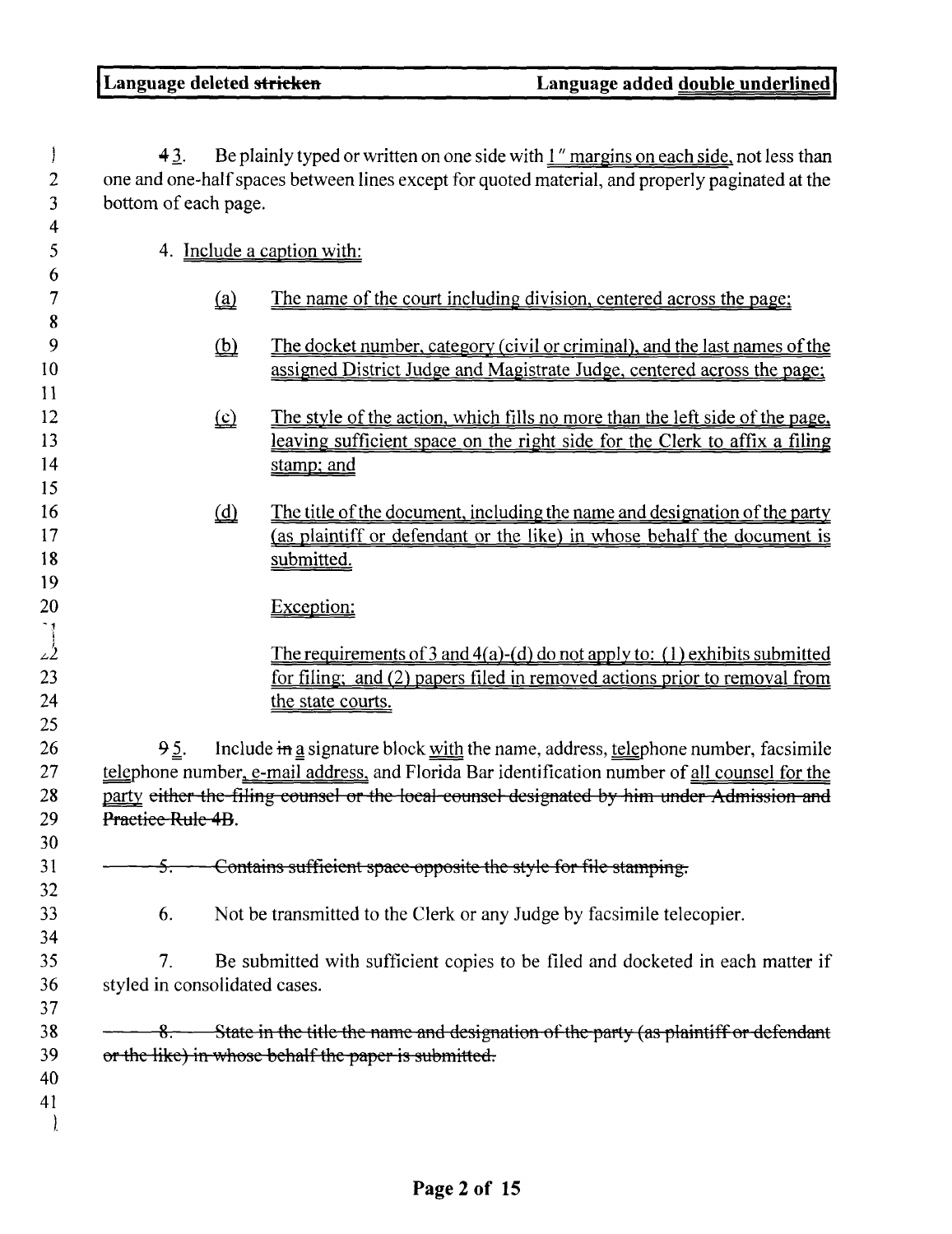$\big)$ 

43. Be plainly typed or written on one side with " margins on each side, not less than 2 one and one-half spaces between lines except for quoted material, and properly paginated at the bottom of each page.

| bottom of each page.          |                                                    |                                                                                                                                                                                              |
|-------------------------------|----------------------------------------------------|----------------------------------------------------------------------------------------------------------------------------------------------------------------------------------------------|
|                               |                                                    | 4. Include a caption with:                                                                                                                                                                   |
|                               |                                                    | The name of the court including division, centered across the page;                                                                                                                          |
|                               | ⑫                                                  | The docket number, category (civil or criminal), and the last names of the                                                                                                                   |
|                               |                                                    | assigned District Judge and Magistrate Judge, centered across the page;                                                                                                                      |
|                               |                                                    |                                                                                                                                                                                              |
|                               | $\underline{\underline{\underline{\mathfrak{C}}}}$ | The style of the action, which fills no more than the left side of the page.                                                                                                                 |
|                               |                                                    | leaving sufficient space on the right side for the Clerk to affix a filing<br>stamp; and                                                                                                     |
|                               |                                                    |                                                                                                                                                                                              |
|                               |                                                    | The title of the document, including the name and designation of the party                                                                                                                   |
|                               |                                                    | (as plaintiff or defendant or the like) in whose behalf the document is                                                                                                                      |
|                               |                                                    | submitted.                                                                                                                                                                                   |
|                               |                                                    | Exception:                                                                                                                                                                                   |
|                               |                                                    | The requirements of 3 and $4(a)$ -(d) do not apply to: (1) exhibits submitted<br>for filing; and (2) papers filed in removed actions prior to removal from<br>the state courts.              |
| 95.                           |                                                    | Include in a signature block with the name, address, telephone number, facsimile                                                                                                             |
|                               |                                                    | telephone number, e-mail address, and Florida Bar identification number of all counsel for the<br>party either the filing counsel or the local counsel designated by him under Admission and |
| Practice Rule 4B.             |                                                    |                                                                                                                                                                                              |
| <del>5.</del>                 |                                                    | - Contains sufficient space opposite the style for file stamping.                                                                                                                            |
| 6.                            |                                                    | Not be transmitted to the Clerk or any Judge by facsimile telecopier.                                                                                                                        |
| 7.                            |                                                    | Be submitted with sufficient copies to be filed and docketed in each matter if                                                                                                               |
| styled in consolidated cases. |                                                    |                                                                                                                                                                                              |
|                               |                                                    | 8. State in the title the name and designation of the party (as plaintiff or defendant                                                                                                       |
|                               |                                                    | or the like) in whose behalf the paper is submitted.                                                                                                                                         |
|                               |                                                    |                                                                                                                                                                                              |
|                               |                                                    |                                                                                                                                                                                              |
|                               |                                                    |                                                                                                                                                                                              |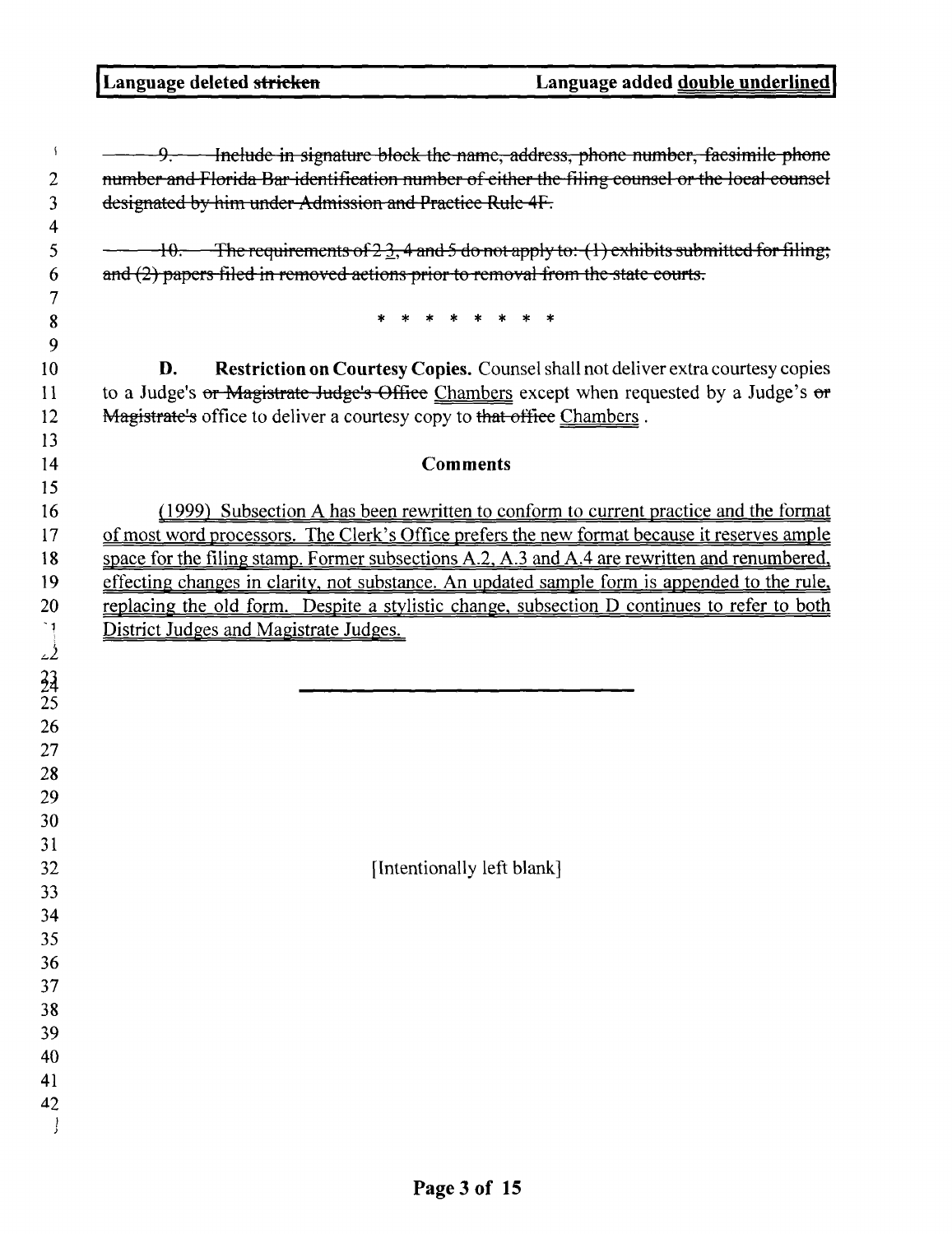| ÷<br>2                                 | 9. - Include in signature block the name, address, phone number, faesimile phone<br>number and Florida Bar identification number of either the filing counsel or the local counsel                                                                           |
|----------------------------------------|--------------------------------------------------------------------------------------------------------------------------------------------------------------------------------------------------------------------------------------------------------------|
| 3<br>4                                 | designated by him under Admission and Practice Rule 4F.                                                                                                                                                                                                      |
| 5<br>6                                 | $\pm 10$ . The requirements of 2.3, 4 and 5 do not apply to: (1) exhibits submitted for filing;<br>and (2) papers filed in removed actions prior to removal from the state courts.                                                                           |
| 7<br>8<br>9                            |                                                                                                                                                                                                                                                              |
| 10<br>11<br>12                         | Restriction on Courtesy Copies. Counsel shall not deliver extra courtesy copies<br>D.<br>to a Judge's or Magistrate Judge's Office Chambers except when requested by a Judge's or<br>Magistrate's office to deliver a courtesy copy to that office Chambers. |
| 13                                     |                                                                                                                                                                                                                                                              |
| 14<br>15                               | <b>Comments</b>                                                                                                                                                                                                                                              |
| 16                                     | (1999) Subsection A has been rewritten to conform to current practice and the format                                                                                                                                                                         |
| 17                                     | of most word processors. The Clerk's Office prefers the new format because it reserves ample                                                                                                                                                                 |
| 18                                     | space for the filing stamp. Former subsections A.2, A.3 and A.4 are rewritten and renumbered,                                                                                                                                                                |
| 19                                     | effecting changes in clarity, not substance. An updated sample form is appended to the rule,                                                                                                                                                                 |
| 20                                     | replacing the old form. Despite a stylistic change, subsection D continues to refer to both                                                                                                                                                                  |
|                                        | District Judges and Magistrate Judges.                                                                                                                                                                                                                       |
| $\begin{bmatrix} 1 \\ 2 \end{bmatrix}$ |                                                                                                                                                                                                                                                              |
| $^{23}$                                |                                                                                                                                                                                                                                                              |
| 25                                     |                                                                                                                                                                                                                                                              |
| 26                                     |                                                                                                                                                                                                                                                              |
| 27                                     |                                                                                                                                                                                                                                                              |
| 28                                     |                                                                                                                                                                                                                                                              |
| 29                                     |                                                                                                                                                                                                                                                              |
| 30                                     |                                                                                                                                                                                                                                                              |
| 31                                     |                                                                                                                                                                                                                                                              |
| 32                                     | [Intentionally left blank]                                                                                                                                                                                                                                   |
| 33                                     |                                                                                                                                                                                                                                                              |
| 34                                     |                                                                                                                                                                                                                                                              |
| 35                                     |                                                                                                                                                                                                                                                              |
| 36                                     |                                                                                                                                                                                                                                                              |
| 37                                     |                                                                                                                                                                                                                                                              |
| 38<br>39                               |                                                                                                                                                                                                                                                              |
| 40                                     |                                                                                                                                                                                                                                                              |
| 41                                     |                                                                                                                                                                                                                                                              |
| 42                                     |                                                                                                                                                                                                                                                              |
|                                        |                                                                                                                                                                                                                                                              |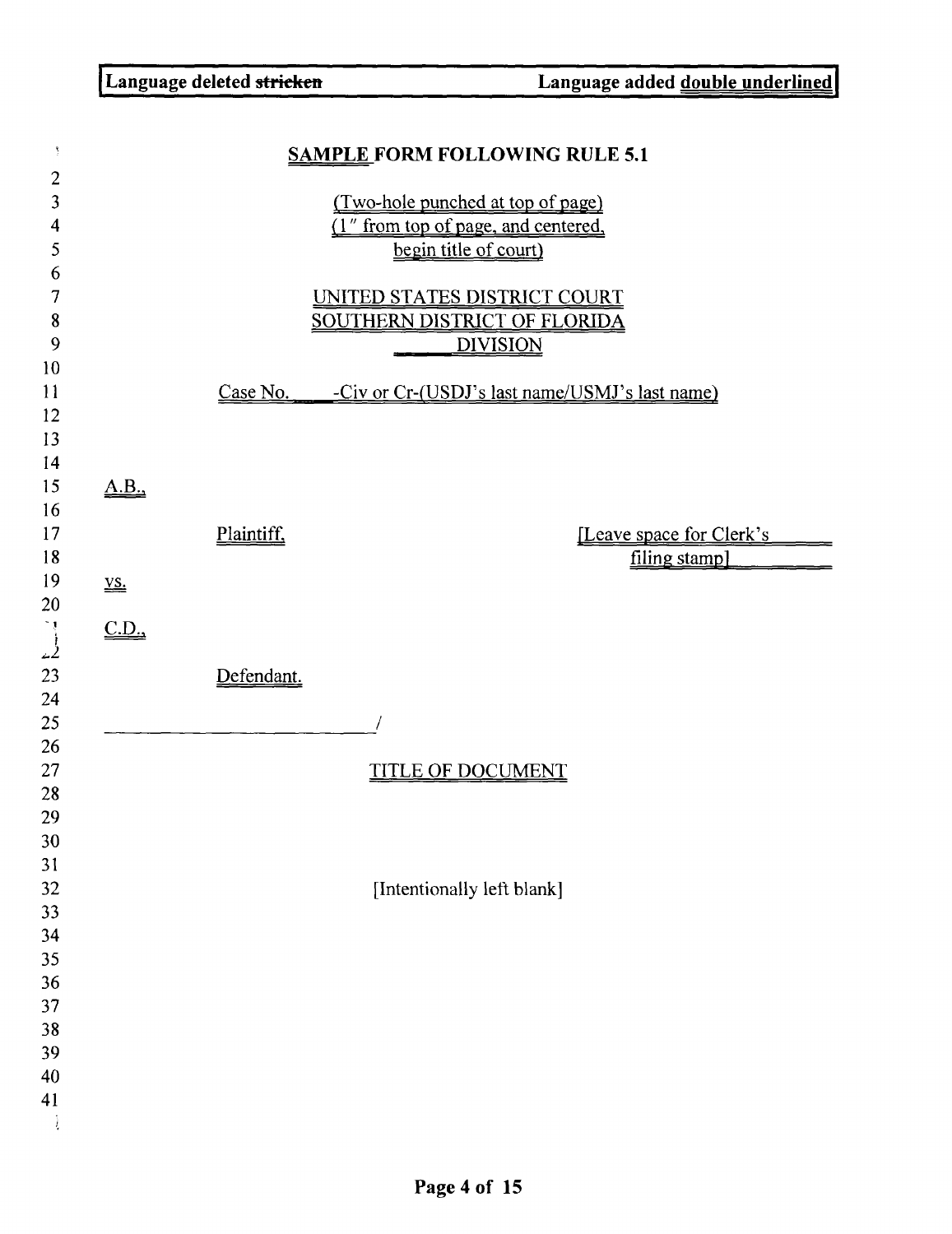| Ŋ.                                                 |                                                          |            | <b>SAMPLE FORM FOLLOWING RULE 5.1</b>                                                             |                                            |
|----------------------------------------------------|----------------------------------------------------------|------------|---------------------------------------------------------------------------------------------------|--------------------------------------------|
| $\overline{2}$<br>3<br>4<br>5                      |                                                          |            | (Two-hole punched at top of page)<br>(1" from top of page, and centered,<br>begin title of court) |                                            |
| 6<br>7<br>8<br>9<br>10                             |                                                          |            | UNITED STATES DISTRICT COURT<br><b>SOUTHERN DISTRICT OF FLORIDA</b><br><b>DIVISION</b>            |                                            |
| 11<br>12<br>13<br>14                               |                                                          |            | Case No. - Civ or Cr-(USDJ's last name/USMJ's last name)                                          |                                            |
| 15<br>16<br>17<br>18                               | A.B.                                                     | Plaintiff, |                                                                                                   | [Leave space for Clerk's]<br>filing stamp] |
| 19<br>20<br>$\begin{bmatrix} 1 \\ 2 \end{bmatrix}$ | $\underline{\mathbf{V}}\underline{\mathbf{S}}$ .<br>C.D. |            |                                                                                                   |                                            |
| 23<br>24<br>25<br>26                               |                                                          | Defendant. |                                                                                                   |                                            |
| 27<br>28<br>29<br>30                               |                                                          |            | <u>TITLE OF DOCUMENT</u>                                                                          |                                            |
| 31<br>32<br>33<br>34                               |                                                          |            | [Intentionally left blank]                                                                        |                                            |
| 35<br>36<br>37<br>38                               |                                                          |            |                                                                                                   |                                            |
| 39<br>40<br>41                                     |                                                          |            |                                                                                                   |                                            |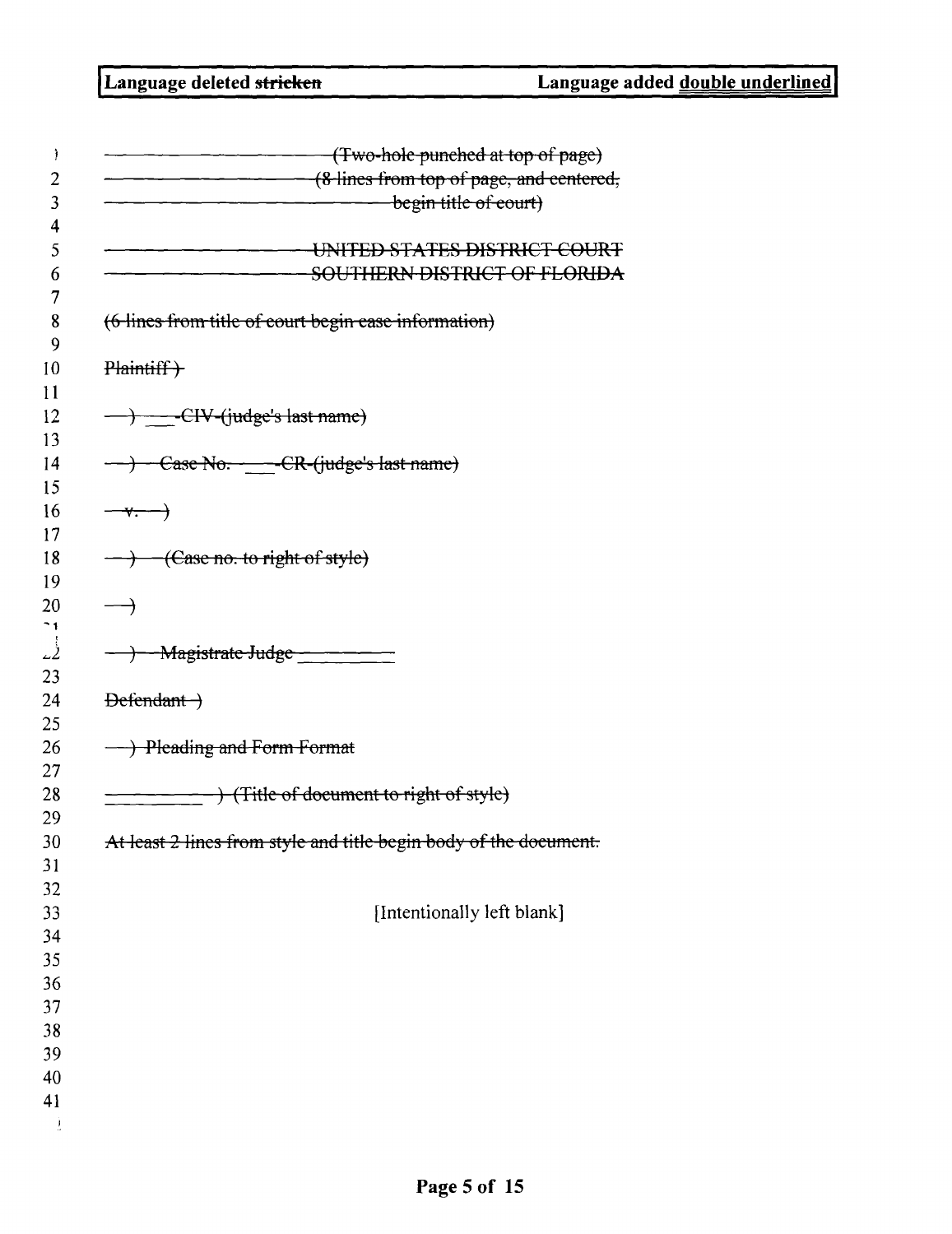|                          | (Two-hole punched at top of page)                                 |
|--------------------------|-------------------------------------------------------------------|
|                          | (8-lines from top of page, and centered,                          |
|                          | begin title of court)                                             |
|                          | UNITED STATES DISTRICT COURT                                      |
|                          | <b>SOUTHERN DISTRICT OF FLORIDA</b>                               |
|                          | (6 lines from title of court begin case information)              |
| Plaintiff +              |                                                                   |
|                          | -> -CIV-(judge's last name)                                       |
|                          | ---> Case No. - -- CR-(judge's last name)                         |
| $-\sqrt{ }$              |                                                                   |
|                          | $\rightarrow$ -(Case no. to right of style)                       |
| →                        |                                                                   |
| $\overline{\phantom{a}}$ | -Magistrate-Judge - - - - - - -                                   |
| $Defendant$              |                                                                   |
|                          | - Pleading and Form Format                                        |
|                          | + (Title of document to right of style)                           |
|                          | At least 2 lines from style and title begin body of the document. |
|                          |                                                                   |
|                          | [Intentionally left blank]                                        |
|                          |                                                                   |
|                          |                                                                   |
|                          |                                                                   |
|                          |                                                                   |
|                          |                                                                   |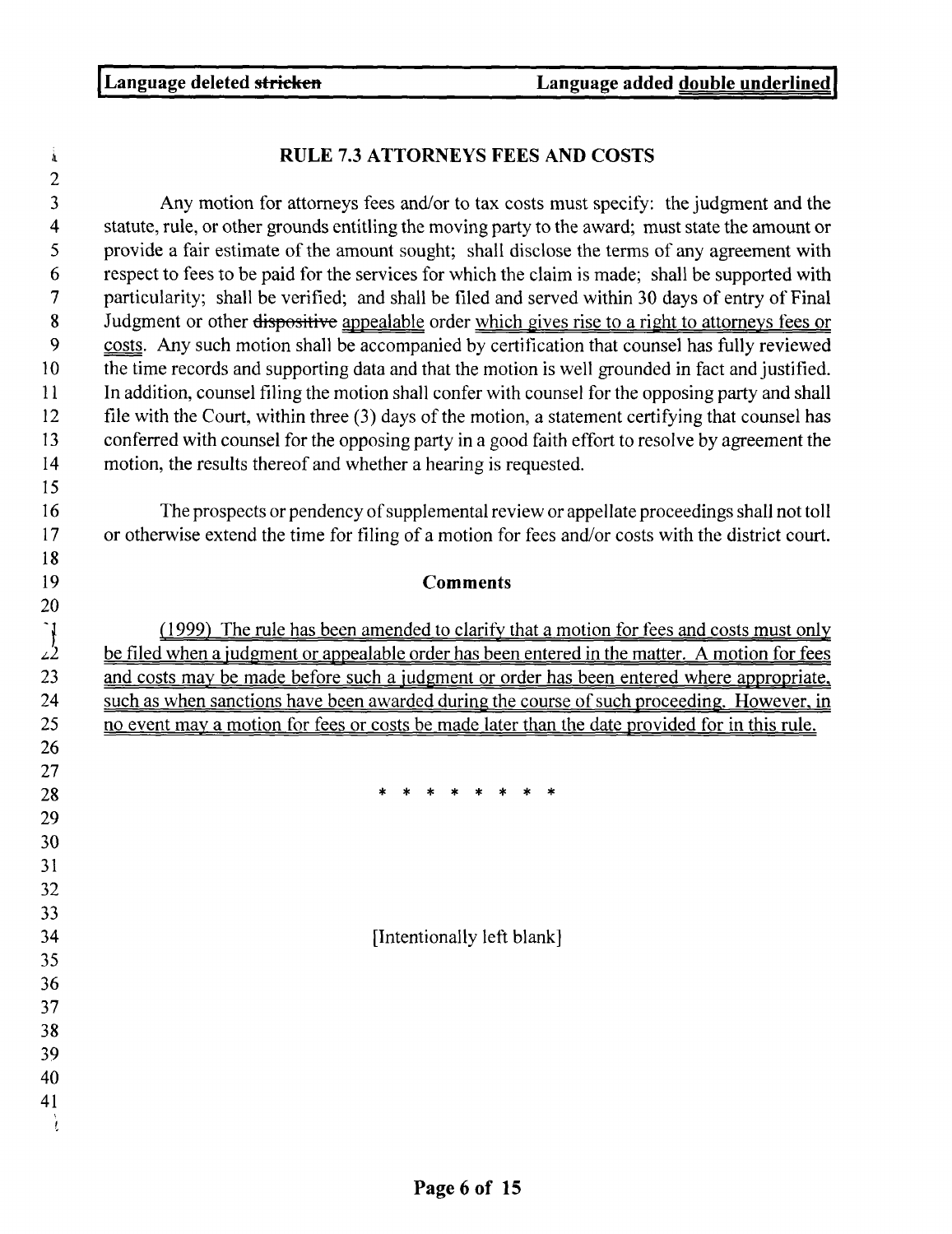## $\mathbf{\dot{a}}$ 2 3 Any motion for attorneys fees and/or to tax costs must specify: the judgment and the 4 statute, rule, or other grounds entitling the moving party to the award; must state the amount or 5 provide a fair estimate of the amount sought; shall disclose the terms of any agreement with 6 respect to fees to be paid for the services for which the claim is made ; shall be supported with 7 particularity; shall be verified; and shall be filed and served within 30 days of entry of Final 8 Judgment or other dispositive appealable order which gives rise to a right to attorneys fees or costs. Any such motion shall be accompanied by certification that counsel has fully reviewed costs. Any such motion shall be accompanied by certification that counsel has fully reviewed 10 the time records and supporting data and that the motion is well grounded in fact and justified . 11 In addition, counsel filing the motion shall confer with counsel for the opposing party and shall 12 file with the Court, within three (3) days of the motion, a statement certifying that counsel has 13 conferred with counsel for the opposing party in a good faith effort to resolve by agreement the 14 motion, the results thereof and whether a hearing is requested . 15 16 The prospects or pendency of supplemental review or appellate proceedings shall not toll 17 or otherwise extend the time for filing of a motion for fees and/or costs with the district court.<br>
18<br> **19 Comments 1 8** 20 <sup>1</sup>/<sub>2</sub> <u>1999</u> *1.* <u>1999</u> **1.** 1. <u>1999</u> **1.** The rule has been amended to clarify that a motion for fees and costs must only be filed when a judgment or appealable order has been entered in the matter. A motion for fees (1999) The rule has been amended to clarify that a motion for fees and costs must only 23 and costs may be made before such a judgment or order has been entered where appropriate, 24 such as when sanctions have been awarded during the course of such proceeding. However, in 25 no event may a motion for fees or costs be made later than the date provided for in this rule. 26 27 28 29 30 31 32 33 34 **Intentionally left blank**] 35 36 37 38 39 40 41

ì

# RULE 7.3 ATTORNEYS FEES AND COSTS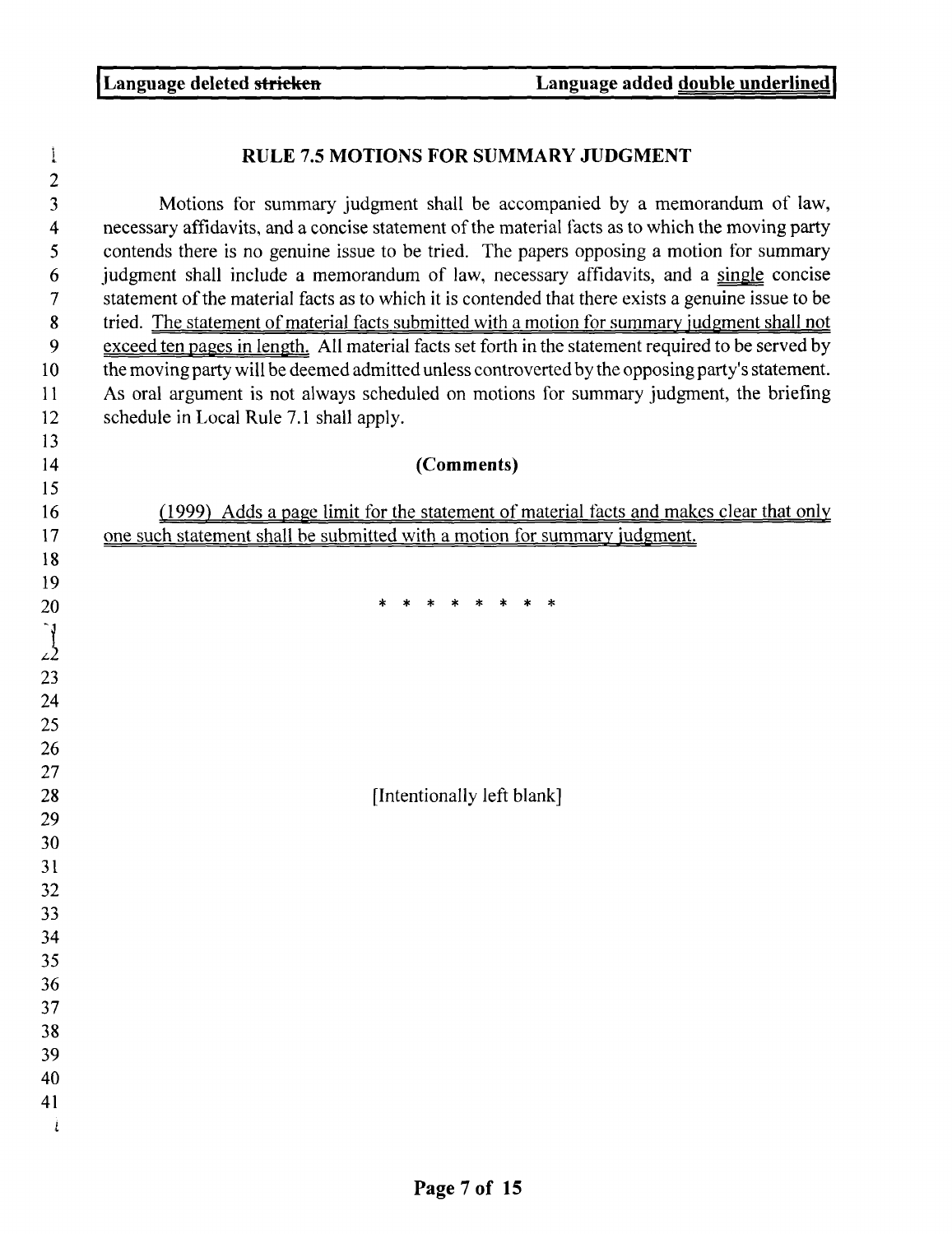i

## RULE 7.5 MOTIONS FOR SUMMARY JUDGMENT

3 Motions for summary judgment shall be accompanied by a memorandum of law, 4 necessary affidavits, and a concise statement of the material facts as to which the moving party 5 contends there is no genuine issue to be tried. The papers opposing a motion for summary 6 judgment shall include a memorandum of law, necessary affidavits, and a single concise 7 statement of the material facts as to which it is contended that there exists a genuine issue to be 8 tried. <u>The statement of material facts submitted with a motion for summary judgment shall not</u><br>9 exceed ten pages in length. All material facts set forth in the statement required to be served by exceed ten pages in length. All material facts set forth in the statement required to be served by 10 the moving party will be deemed admitted unless controverted by the opposing party's statement. 11 As oral argument is not always scheduled on motions for summary judgment, the briefing 12 schedule in Local Rule 7.1 shall apply. 12 Schedule in Eocal Rule 7.1 shart apply.<br>13 **(Comments)**<br>15

16 (1999) Adds a page limit for the statement of material facts and makes clear that only 17 one such statement shall be submitted with a motion for summary judgment.

19<br>20 \* \* \* \* \* \* \* \* \*

[Intentionally left blank]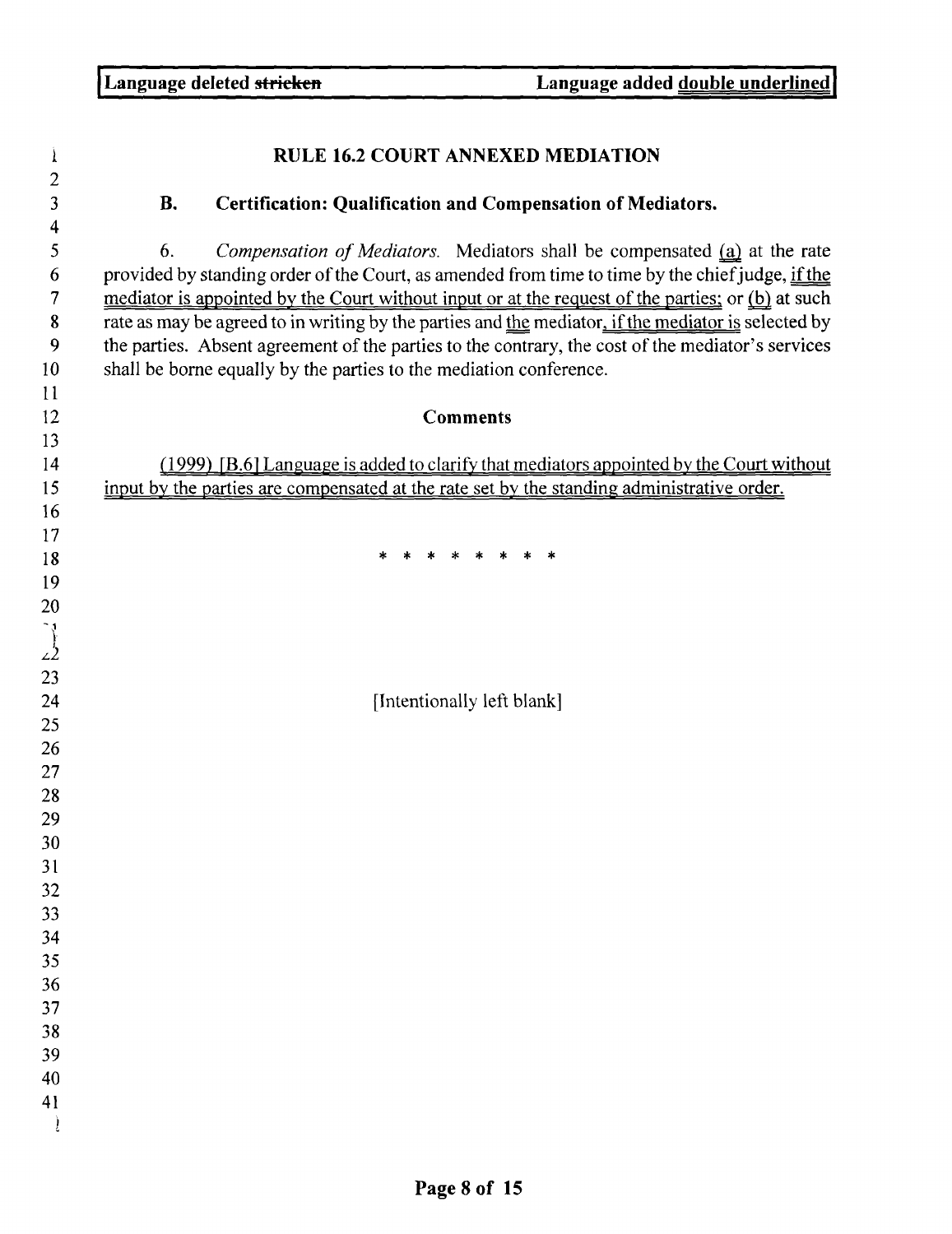| $\overline{c}$<br>3<br><b>B.</b><br><b>Certification: Qualification and Compensation of Mediators.</b><br>4<br>5<br>Compensation of Mediators. Mediators shall be compensated (a) at the rate<br>6.<br>provided by standing order of the Court, as amended from time to time by the chief judge, if the<br>6<br>mediator is appointed by the Court without input or at the request of the parties; or (b) at such<br>$\overline{7}$<br>rate as may be agreed to in writing by the parties and the mediator, if the mediator is selected by<br>8<br>the parties. Absent agreement of the parties to the contrary, the cost of the mediator's services<br>9<br>shall be borne equally by the parties to the mediation conference.<br>10<br>11<br>12<br><b>Comments</b><br>13<br>(1999) [B.6] Language is added to clarify that mediators appointed by the Court without<br>14<br>input by the parties are compensated at the rate set by the standing administrative order.<br>15<br>16<br>17<br>* * * * * *<br>18<br>19<br>20<br>$\int$ |  |
|----------------------------------------------------------------------------------------------------------------------------------------------------------------------------------------------------------------------------------------------------------------------------------------------------------------------------------------------------------------------------------------------------------------------------------------------------------------------------------------------------------------------------------------------------------------------------------------------------------------------------------------------------------------------------------------------------------------------------------------------------------------------------------------------------------------------------------------------------------------------------------------------------------------------------------------------------------------------------------------------------------------------------------------|--|
|                                                                                                                                                                                                                                                                                                                                                                                                                                                                                                                                                                                                                                                                                                                                                                                                                                                                                                                                                                                                                                        |  |
|                                                                                                                                                                                                                                                                                                                                                                                                                                                                                                                                                                                                                                                                                                                                                                                                                                                                                                                                                                                                                                        |  |
|                                                                                                                                                                                                                                                                                                                                                                                                                                                                                                                                                                                                                                                                                                                                                                                                                                                                                                                                                                                                                                        |  |
|                                                                                                                                                                                                                                                                                                                                                                                                                                                                                                                                                                                                                                                                                                                                                                                                                                                                                                                                                                                                                                        |  |
|                                                                                                                                                                                                                                                                                                                                                                                                                                                                                                                                                                                                                                                                                                                                                                                                                                                                                                                                                                                                                                        |  |
|                                                                                                                                                                                                                                                                                                                                                                                                                                                                                                                                                                                                                                                                                                                                                                                                                                                                                                                                                                                                                                        |  |
|                                                                                                                                                                                                                                                                                                                                                                                                                                                                                                                                                                                                                                                                                                                                                                                                                                                                                                                                                                                                                                        |  |
|                                                                                                                                                                                                                                                                                                                                                                                                                                                                                                                                                                                                                                                                                                                                                                                                                                                                                                                                                                                                                                        |  |
| [Intentionally left blank]                                                                                                                                                                                                                                                                                                                                                                                                                                                                                                                                                                                                                                                                                                                                                                                                                                                                                                                                                                                                             |  |
|                                                                                                                                                                                                                                                                                                                                                                                                                                                                                                                                                                                                                                                                                                                                                                                                                                                                                                                                                                                                                                        |  |
|                                                                                                                                                                                                                                                                                                                                                                                                                                                                                                                                                                                                                                                                                                                                                                                                                                                                                                                                                                                                                                        |  |
|                                                                                                                                                                                                                                                                                                                                                                                                                                                                                                                                                                                                                                                                                                                                                                                                                                                                                                                                                                                                                                        |  |
|                                                                                                                                                                                                                                                                                                                                                                                                                                                                                                                                                                                                                                                                                                                                                                                                                                                                                                                                                                                                                                        |  |
|                                                                                                                                                                                                                                                                                                                                                                                                                                                                                                                                                                                                                                                                                                                                                                                                                                                                                                                                                                                                                                        |  |
|                                                                                                                                                                                                                                                                                                                                                                                                                                                                                                                                                                                                                                                                                                                                                                                                                                                                                                                                                                                                                                        |  |
|                                                                                                                                                                                                                                                                                                                                                                                                                                                                                                                                                                                                                                                                                                                                                                                                                                                                                                                                                                                                                                        |  |
|                                                                                                                                                                                                                                                                                                                                                                                                                                                                                                                                                                                                                                                                                                                                                                                                                                                                                                                                                                                                                                        |  |
|                                                                                                                                                                                                                                                                                                                                                                                                                                                                                                                                                                                                                                                                                                                                                                                                                                                                                                                                                                                                                                        |  |
|                                                                                                                                                                                                                                                                                                                                                                                                                                                                                                                                                                                                                                                                                                                                                                                                                                                                                                                                                                                                                                        |  |
|                                                                                                                                                                                                                                                                                                                                                                                                                                                                                                                                                                                                                                                                                                                                                                                                                                                                                                                                                                                                                                        |  |
|                                                                                                                                                                                                                                                                                                                                                                                                                                                                                                                                                                                                                                                                                                                                                                                                                                                                                                                                                                                                                                        |  |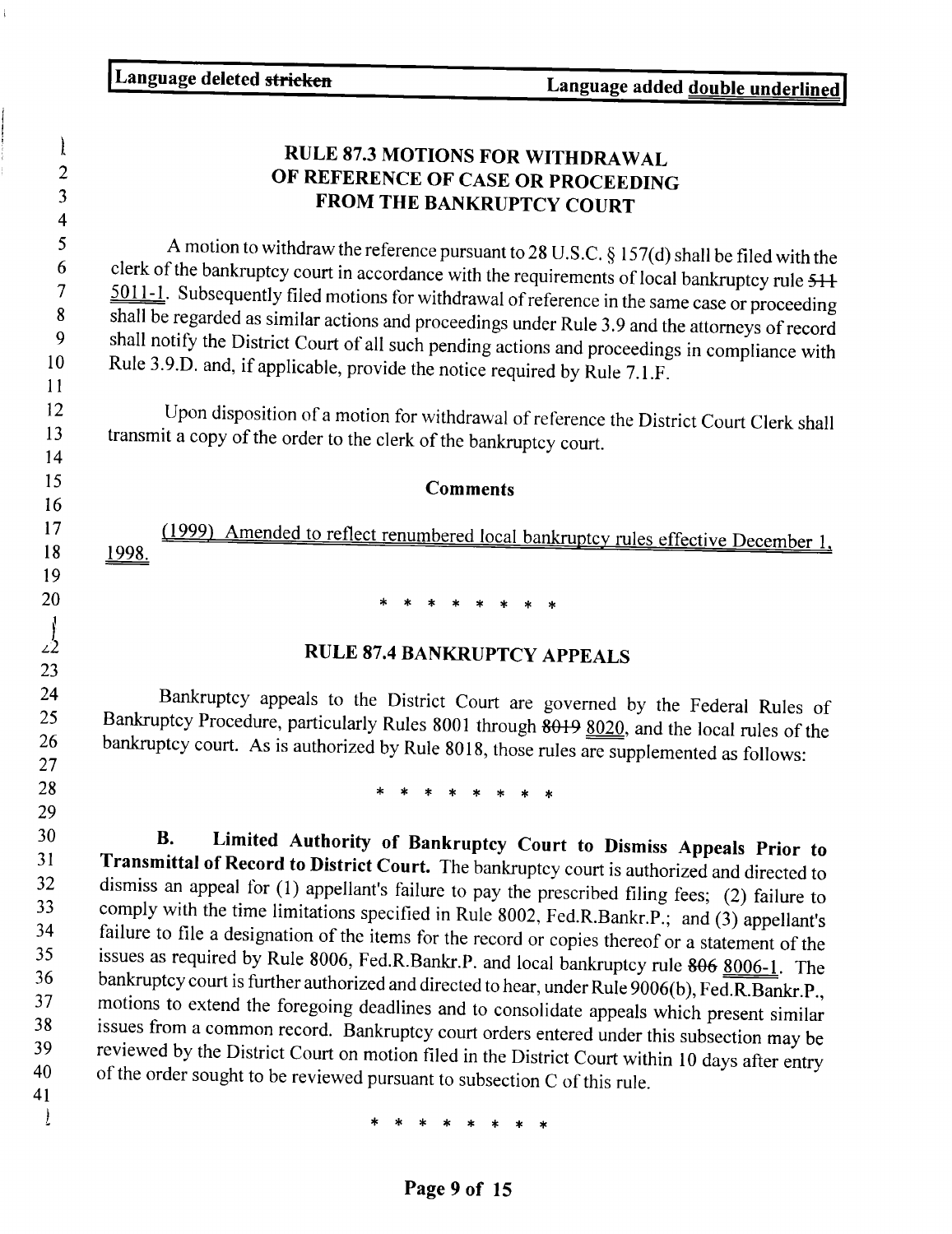Language deleted stricken Language added double **underlined**  $\mathbf{l}$ RULE 87.3 MOTIONS FOR WITHDRAWAL 2 OF REFERENCE OF CASE OR PROCEEDING 3 **FROM** THE BANKRUPTCY COURT 4 5 A motion to withdraw the reference pursuant to 28 U.S.C.  $\S 157(d)$  shall be filed with the clerk of the bankruptcy court in accordance with the 6 clerk of the bankruptcy court in accordance with the requirements of local bankruptcy rule  $511$ <br>7 5011-1 Subsequently filed motions for withdrown of security is a state of the state of the subsequently filed motions fo  $\frac{5011-1}{8}$ . Subsequently filed motions for withdrawal of reference in the same case or proceeding<br>8 shall be regarded as similar actions and proceeding we keep help and a similar state. 8 shall be regarded as similar actions and proceedings under Rule 3.9 and the attorneys of record<br>9 shall notify the District Court of all such a said is a set of the street of all such a set of the shall notify the Distri 9 shall notify the District Court of all such pending actions and proceedings in compliance with<br>10 Rule 3.9 D and if applicable provide the petite such in the B is  $\overline{a}$  in  $\overline{b}$ Rule 3.9.D. and, if applicable, provide the notice required by Rule 7.1 .F. 11 12 Upon disposition of a motion for withdrawal of reference the District Court Clerk shall<br>13 transmit a copy of the order to the clerk of the bonknumber court transmit a copy of the order to the clerk of the bankruptcy court. 14 15 15<br>16<br>17 (<u>1999) Amended to reflect renumbered local bankruptcy rules effective December</u> 1 **Comments** 16 19 20 \* \* \* \* \* \* \*  $\int$ RULE 87.4 BANKRUPTCY APPEALS 23 24 Bankruptcy appeals to the District Court are governed by the Federal Rules of<br>25 Bankruptcy Procedure particularly Pulse 2001 through 2010, 2009 25 Bankruptcy Procedure, particularly Rules 8001 through 8019 8020, and the local rules of the<br>26 bankruptcy court As is authorized by Pule 8018, these miles of the local rules of the 26 bankruptcy court. As is authorized by Rule 8018, those rules are supplemented as follows:<br>27 **28** \* \* \* \* \* \* \* \* **29 30 B. Limited Authority of Bankruptcy Court to Dismiss Appeals Prior to 31 Transmittal of Record to District Court.** The bankruptcy court is authorized and directed to dismiss an appeal for (1) appellant's foilure to go all the dismission of the dismission appeal of the appellant's foilure 32 dismiss an appeal for (1) appellant's failure to pay the prescribed filing fees; (2) failure to comply with the time limitations specified in Bulle 2002.  $F_{\text{A}}$  is  $F_{\text{B}}$  in  $F_{\text{B}}$  in  $F_{\text{B}}$  is  $F_{\text{B}}$  in 33 comply with the time limitations specified in Rule 8002, Fed.R.Bankr.P .; and (3) appellant's<br>34 failure to file a designation of the items for the uses of the signal in the set of the state of the state of the state of 34 failure to file a designation of the **items** for the record or copies thereof or a statement of the 35 issues as required by Rule 8006, Fed.R.Bankr.P. and local bankruptcy rule 806 8006-1. The<br>36 bankruptcy court is further authorized and directed to have  $\frac{1}{2}$ ,  $\frac{200660}{2}$ ,  $\frac{3006}{2}$ . 36 bankruptcy court is further authorized and directed to hear, under Rule 9006(b), Fed.R.Bankr.P.,<br>37 motions to extend the foregoing deadlings and the still the still of the distributions. 37 motions to extend the foregoing deadlines and to consolidate appeals which **present similar** 38 issues from a common record. Bankruptcy court orders entered under this subsection may be<br>39 reviewed by the District Court on motion filed in the District Court of the initial state of the subsection 39 reviewed by the District Court on motion filed in the District Court within 10 days after entry<br>40 of the order sought to be reviewed pursuant to subsection G of this a l 40 of the order sought to be reviewed pursuant to subsection C of this rule.<br>  $* * * * * * * * * *$ 41

**Page 9 of 15**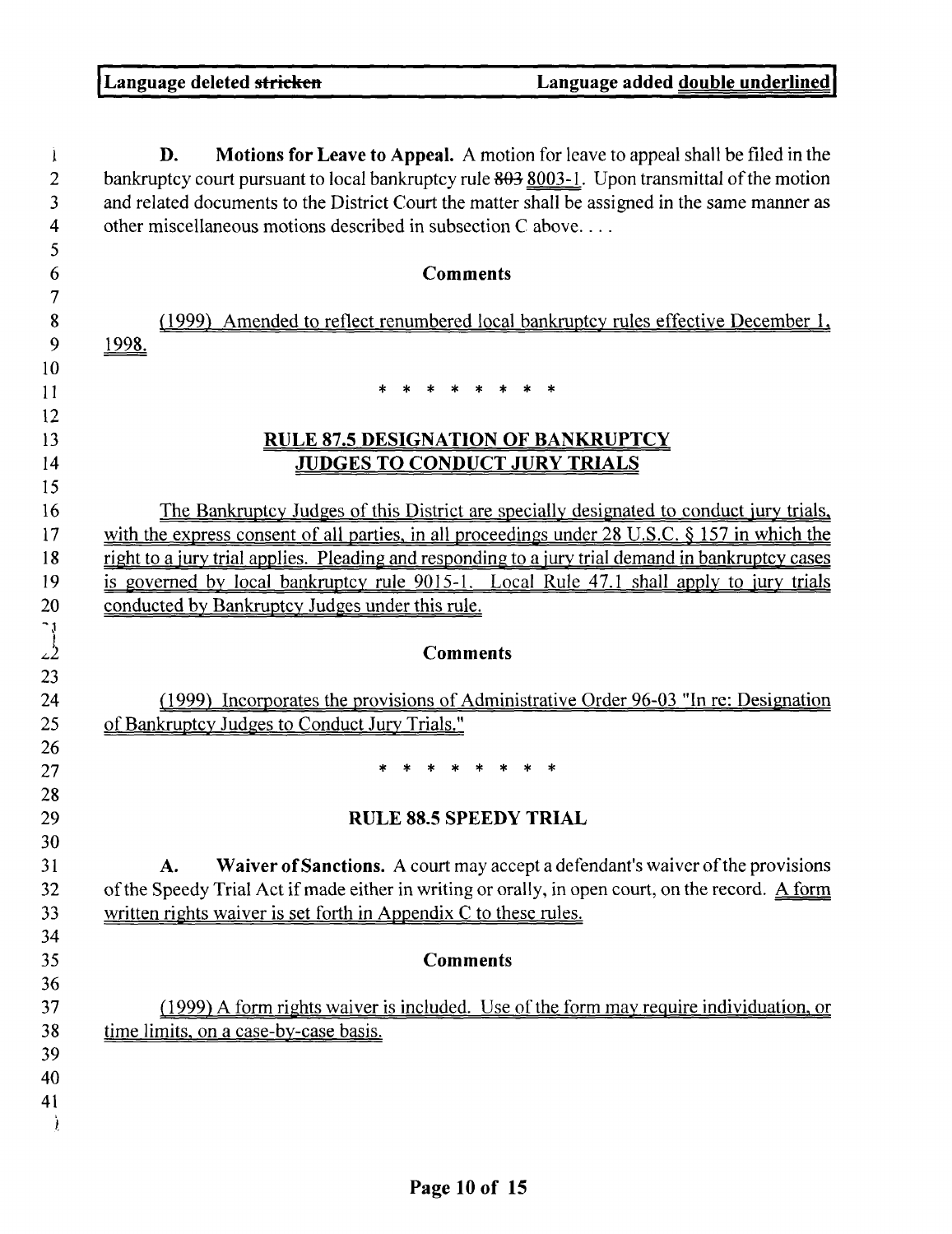| D.    | Motions for Leave to Appeal. A motion for leave to appeal shall be filed in the<br>bankruptcy court pursuant to local bankruptcy rule 803 8003-1. Upon transmittal of the motion<br>and related documents to the District Court the matter shall be assigned in the same manner as<br>other miscellaneous motions described in subsection C above |
|-------|---------------------------------------------------------------------------------------------------------------------------------------------------------------------------------------------------------------------------------------------------------------------------------------------------------------------------------------------------|
|       |                                                                                                                                                                                                                                                                                                                                                   |
|       | <b>Comments</b>                                                                                                                                                                                                                                                                                                                                   |
|       | (1999) Amended to reflect renumbered local bankruptcy rules effective December 1,                                                                                                                                                                                                                                                                 |
| 1998. |                                                                                                                                                                                                                                                                                                                                                   |
|       |                                                                                                                                                                                                                                                                                                                                                   |
|       |                                                                                                                                                                                                                                                                                                                                                   |
|       |                                                                                                                                                                                                                                                                                                                                                   |
|       | <b>RULE 87.5 DESIGNATION OF BANKRUPTCY</b>                                                                                                                                                                                                                                                                                                        |
|       | <b>JUDGES TO CONDUCT JURY TRIALS</b>                                                                                                                                                                                                                                                                                                              |
|       | The Bankruptcy Judges of this District are specially designated to conduct jury trials.                                                                                                                                                                                                                                                           |
|       | with the express consent of all parties, in all proceedings under 28 U.S.C. § 157 in which the                                                                                                                                                                                                                                                    |
|       | right to a jury trial applies. Pleading and responding to a jury trial demand in bankruptcy cases                                                                                                                                                                                                                                                 |
|       | is governed by local bankruptcy rule 9015-1. Local Rule 47.1 shall apply to jury trials                                                                                                                                                                                                                                                           |
|       | conducted by Bankruptcy Judges under this rule.                                                                                                                                                                                                                                                                                                   |
|       |                                                                                                                                                                                                                                                                                                                                                   |
|       | <b>Comments</b>                                                                                                                                                                                                                                                                                                                                   |
|       | (1999) Incorporates the provisions of Administrative Order 96-03 "In re: Designation                                                                                                                                                                                                                                                              |
|       | of Bankruptcy Judges to Conduct Jury Trials."                                                                                                                                                                                                                                                                                                     |
|       |                                                                                                                                                                                                                                                                                                                                                   |
|       |                                                                                                                                                                                                                                                                                                                                                   |
|       |                                                                                                                                                                                                                                                                                                                                                   |
|       | <b>RULE 88.5 SPEEDY TRIAL</b>                                                                                                                                                                                                                                                                                                                     |
|       |                                                                                                                                                                                                                                                                                                                                                   |
| A.    | Waiver of Sanctions. A court may accept a defendant's waiver of the provisions                                                                                                                                                                                                                                                                    |
|       | of the Speedy Trial Act if made either in writing or orally, in open court, on the record. A form                                                                                                                                                                                                                                                 |
|       | written rights waiver is set forth in Appendix C to these rules.                                                                                                                                                                                                                                                                                  |
|       | <b>Comments</b>                                                                                                                                                                                                                                                                                                                                   |
|       |                                                                                                                                                                                                                                                                                                                                                   |
|       | (1999) A form rights waiver is included. Use of the form may require individuation, or                                                                                                                                                                                                                                                            |
|       | time limits, on a case-by-case basis.                                                                                                                                                                                                                                                                                                             |
|       |                                                                                                                                                                                                                                                                                                                                                   |
|       |                                                                                                                                                                                                                                                                                                                                                   |
|       |                                                                                                                                                                                                                                                                                                                                                   |
|       |                                                                                                                                                                                                                                                                                                                                                   |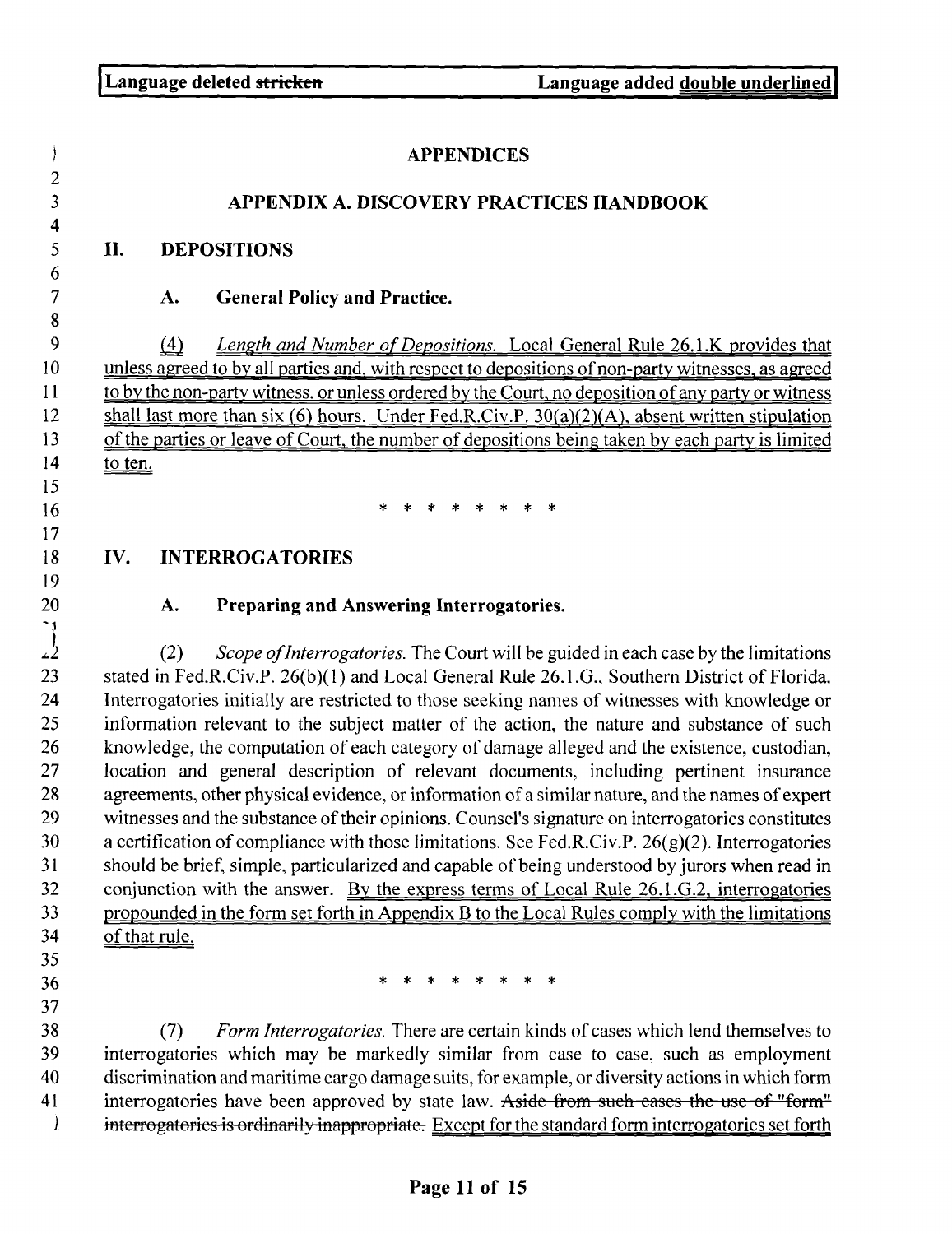$\mathbf{r}$ 

 $\mathbf{I}$ APPENDICES 2 3 APPENDIX A. DISCOVERY PRACTICES HANDBOOK 4 5 II. DEPOSITIONS 6 7 A. General **Policy and Practice. 8** 9 *Length and Number of Depositions.* Local General Rule 26 .1 .K provides that 10 unless agreed to by all parties and, with respect to depositions of non-party witnesses, as agreed <sup>11</sup> to by the non-party witness, or unless ordered by the Court, no deposition of any party or witness 12 shall last more than six (6) hours. Under Fed.R.Civ.P. 30(a)(2)(A), absent written stipulation 13 of the parties or leave of Court, the number of depositions being taken by each party is limited 14 to ten. 15 16 17 18 IV. INTERROGATORIES 19 20 **A. Preparing and Answering Interrogatories.**<br>
22 (2) *Scope of Interrogatories*. The Court will be gu. *z*<sup>2</sup> (2) *Scope of Interrogatories.* The Court will be guided in each case by the limitations stated in Fed.R.Civ.P. 26(b)(1) and Local General Rule 26.1.G., Southern District of Florida. stated in Fed.R.Civ.P. 26(b)(1) and Local General Rule 26.1.G., Southern District of Florida. 24 Interrogatories initially are restricted to those seeking names of witnesses with knowledge or 25 information relevant to the subject matter of the action, the nature and substance of such 26 knowledge, the computation of each category of damage alleged and the existence, custodian, 27 location and general description of relevant documents, including pertinent insurance 28 agreements, other physical evidence, or information of a similar nature, and the names of expert 29 witnesses and the substance of their opinions . Counsel's signature on interrogatories constitutes 30 a certification of compliance with those limitations. See Fed.R.Civ.P. 26(g)(2). Interrogatories 31 should be brief, simple, particularized and capable of being understood by jurors when read in 32 conjunction with the answer. By the express terms of Local Rule 26.1 .G .2, interrogatories 33 propounded in the form set forth in Appendix B to the Local Rules comply with the limitations 34 of that rule. 36 \* \* \* \* \* \* \* \* 35 37 38 *(7) Form Interrogatories.* There are certain kinds of cases which lend themselves to 39 interrogatories which may be markedly similar from case to case, such as employment 40 discrimination and maritime cargo damage suits, for example, or diversity actions in which form 41 interrogatories have been approved by state law. Aside from such eases the use of "form"

interrogatories is ordinarily inappropriate. Except for the standard form interrogatories set forth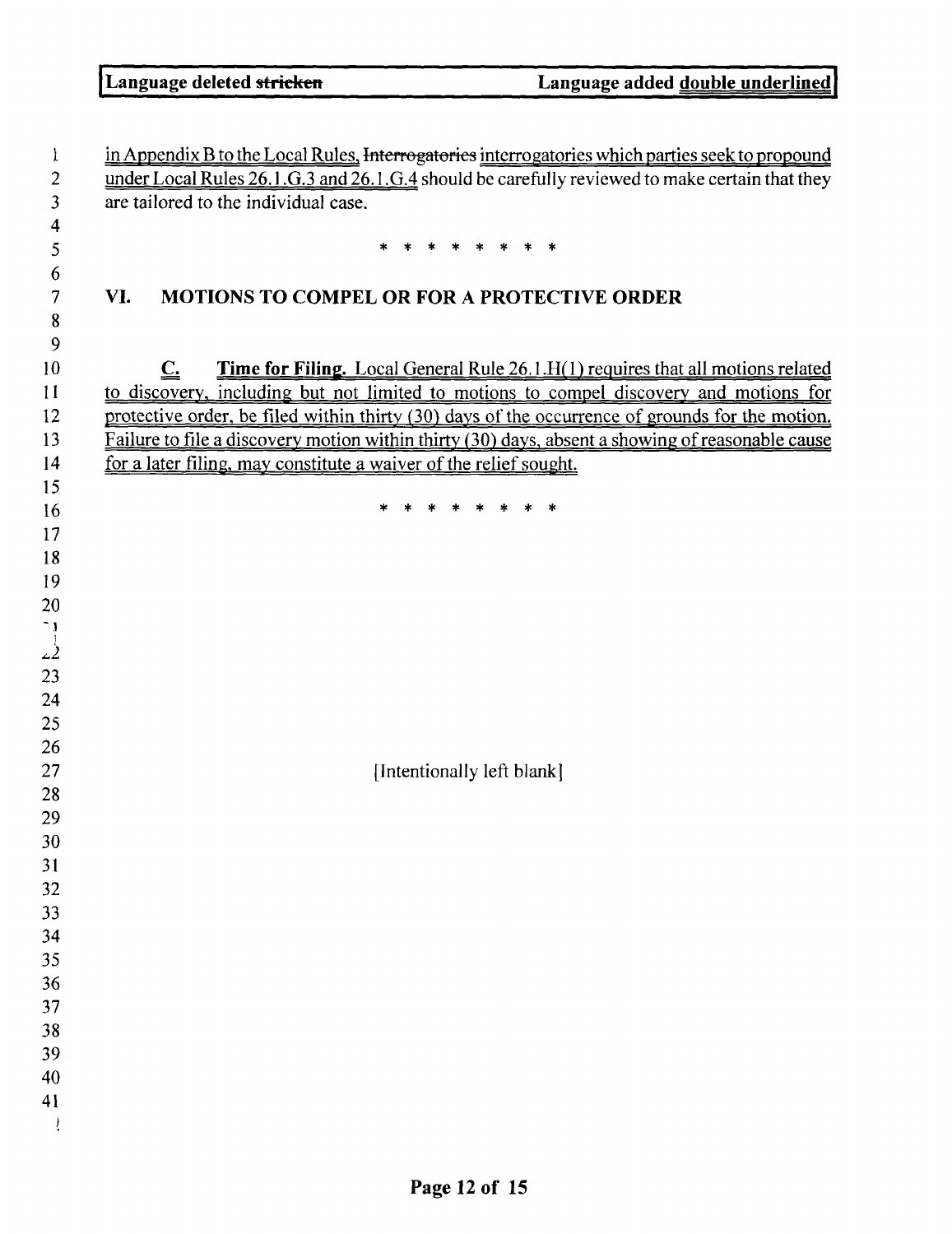| Ţ.               | in Appendix B to the Local Rules, Interrogatories interrogatories which parties seek to propound            |  |
|------------------|-------------------------------------------------------------------------------------------------------------|--|
| $\boldsymbol{2}$ | under Local Rules 26.1.G.3 and 26.1.G.4 should be carefully reviewed to make certain that they              |  |
| 3                | are tailored to the individual case.                                                                        |  |
| 4                |                                                                                                             |  |
| 5                |                                                                                                             |  |
| 6                |                                                                                                             |  |
| 7                | VI.<br><b>MOTIONS TO COMPEL OR FOR A PROTECTIVE ORDER</b>                                                   |  |
| 8                |                                                                                                             |  |
| 9                |                                                                                                             |  |
| 10               | Time for Filing. Local General Rule 26.1.H(1) requires that all motions related<br>$\underline{\mathbf{C}}$ |  |
| 11               | to discovery, including but not limited to motions to compel discovery and motions for                      |  |
| 12               | protective order, be filed within thirty (30) days of the occurrence of grounds for the motion.             |  |
| 13               | Failure to file a discovery motion within thirty (30) days, absent a showing of reasonable cause            |  |
| 14               | for a later filing, may constitute a waiver of the relief sought.                                           |  |
| 15               |                                                                                                             |  |
| 16               |                                                                                                             |  |
| 17               |                                                                                                             |  |
| 18               |                                                                                                             |  |
| 19               |                                                                                                             |  |
| 20               |                                                                                                             |  |
|                  |                                                                                                             |  |
| $\frac{1}{2}$    |                                                                                                             |  |
| 23               |                                                                                                             |  |
| 24               |                                                                                                             |  |
| 25               |                                                                                                             |  |
| 26               |                                                                                                             |  |
| 27               | [Intentionally left blank]                                                                                  |  |
| 28               |                                                                                                             |  |
| 29               |                                                                                                             |  |
| 30               |                                                                                                             |  |
| 31               |                                                                                                             |  |
| 32               |                                                                                                             |  |
| 33               |                                                                                                             |  |
| 34               |                                                                                                             |  |
| 35               |                                                                                                             |  |
| 36               |                                                                                                             |  |
| 37<br>38         |                                                                                                             |  |
| 39               |                                                                                                             |  |
| 40               |                                                                                                             |  |
| 41               |                                                                                                             |  |
|                  |                                                                                                             |  |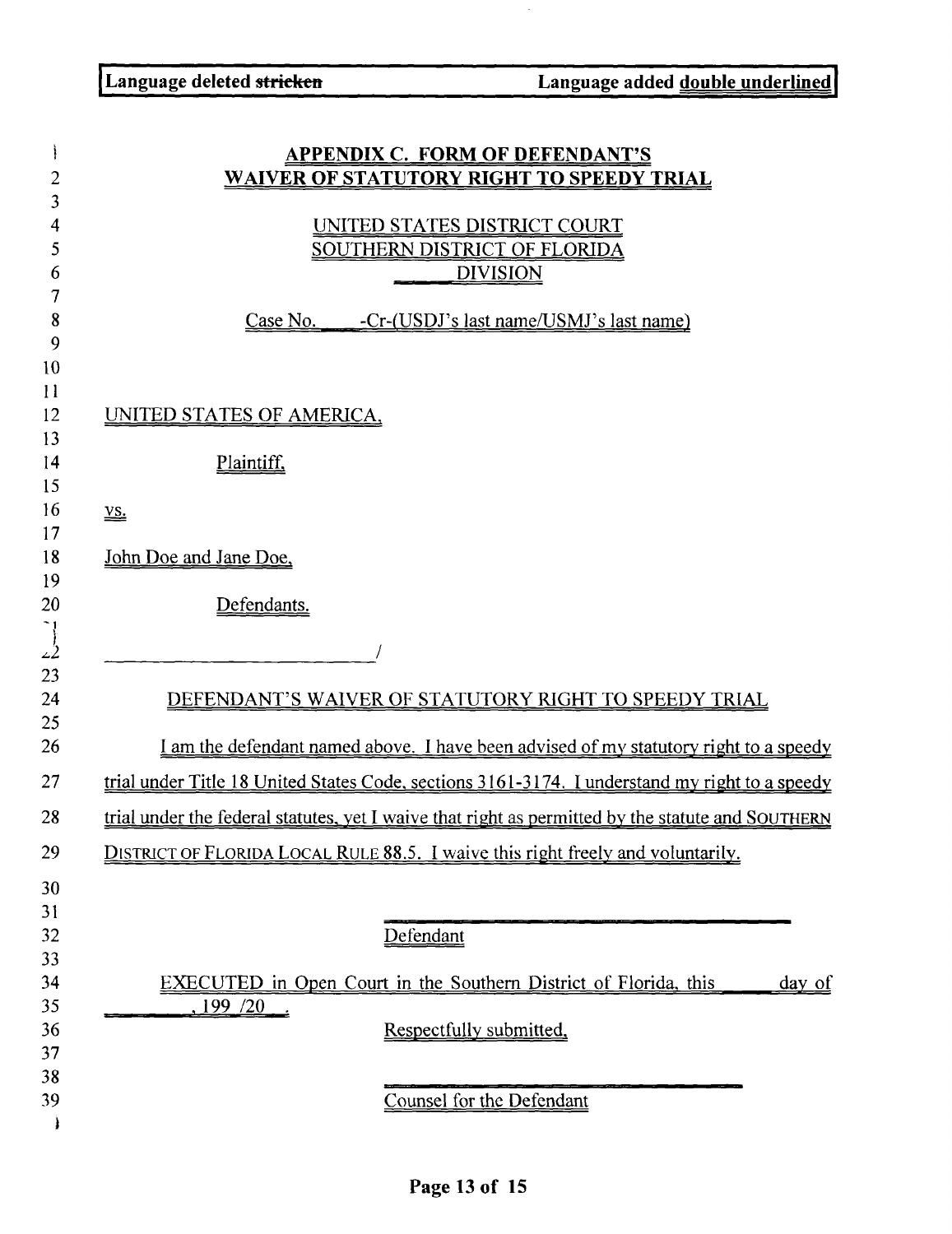$\hat{\boldsymbol{\beta}}$ 

|          | <b>APPENDIX C. FORM OF DEFENDANT'S</b>                                                                   |
|----------|----------------------------------------------------------------------------------------------------------|
| 2        | <u>WAIVER OF STATUTORY RIGHT TO SPEEDY TRIAL</u>                                                         |
| 3        |                                                                                                          |
| 4        | UNITED STATES DISTRICT COURT                                                                             |
| 5        | <b>SOUTHERN DISTRICT OF FLORIDA</b>                                                                      |
| 6        | <b>DIVISION</b>                                                                                          |
| 7<br>8   | -Cr-(USDJ's last name/USMJ's last name)<br><u>Case No.</u>                                               |
| 9        |                                                                                                          |
| 10       |                                                                                                          |
| 11       |                                                                                                          |
| 12<br>13 | <u>UNITED STATES OF AMERICA,</u>                                                                         |
|          |                                                                                                          |
|          | Plaintiff,                                                                                               |
|          | $\underline{\mathbf{vs}}$ .                                                                              |
|          |                                                                                                          |
|          | John Doe and Jane Doe,                                                                                   |
|          | Defendants.                                                                                              |
|          |                                                                                                          |
|          |                                                                                                          |
|          |                                                                                                          |
|          | DEFENDANT'S WAIVER OF STATUTORY RIGHT TO SPEEDY TRIAL                                                    |
|          | <u>I am the defendant named above. I have been advised of my statutory right to a speedy</u>             |
|          | trial under Title 18 United States Code, sections 3161-3174. I understand my right to a speedy           |
|          | <u>trial under the federal statutes, yet I waive that right as permitted by the statute and SOUTHERN</u> |
|          | DISTRICT OF FLORIDA LOCAL RULE 88.5. I waive this right freely and voluntarily.                          |
|          |                                                                                                          |
|          |                                                                                                          |
|          | Defendant                                                                                                |
|          |                                                                                                          |
|          | <b>EXECUTED</b> in Open Court in the Southern District of Florida, this<br><u>day of</u>                 |
|          | ,199/20                                                                                                  |
|          | Respectfully submitted.                                                                                  |
|          |                                                                                                          |
|          |                                                                                                          |
|          | Counsel for the Defendant                                                                                |
|          |                                                                                                          |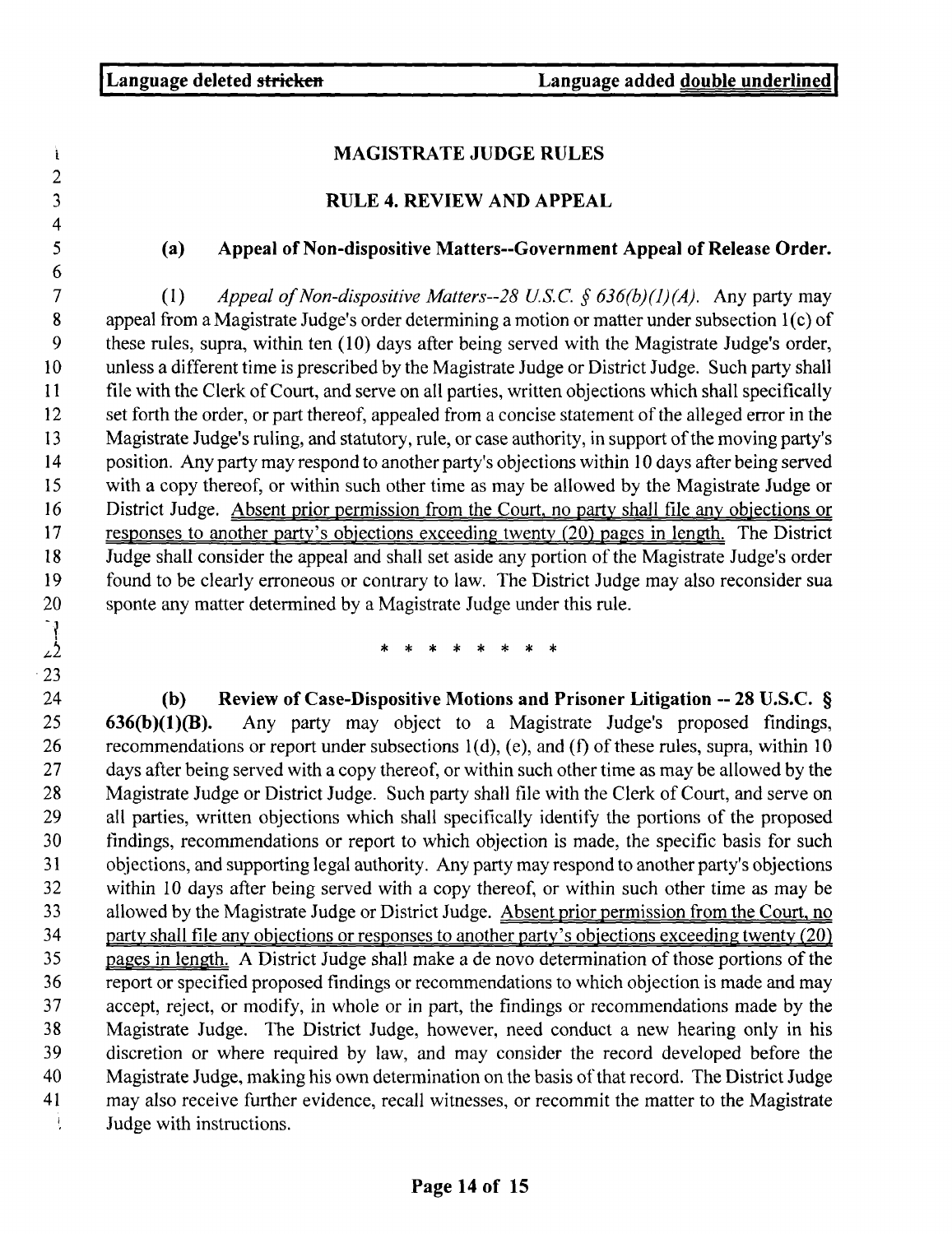$\mathbf i$ 

23

### MAGISTRATE JUDGE RULES

### RULE 4. REVIEW AND APPEAL

### (a) Appeal **of Non**-**dispositive Matters--Government** Appeal **of Release Order .**

*7 (1) Appeal of Non-dispositive Matters--28 U.S.C. § 636(b) (1) (A).* Any party may 8 appeal from a Magistrate Judge's order determining a motion or matter under subsection 1(c) of 9 these rules, supra, within ten (10) days after being served with the Magistrate Judge's order, 10 unless a different time is prescribed by the Magistrate Judge or District Judge . Such party shall 11 file with the Clerk of Court, and serve on all parties, written objections which shall specifically 12 set forth the order, or part thereof, appealed from a concise statement of the alleged error in the 13 Magistrate Judge's ruling, and statutory, rule, or case authority, in support of the moving party's 14 position. Any party may respond to another party's objections within 10 days after being served 15 with a copy thereof, or within such other time as may be allowed by the Magistrate Judge or 16 District Judge. Absent prior permission from the Court, no party shall file any objections or 17 responses to another party's objections exceeding twenty (20) pages in length. The District 18 Judge shall consider the appeal and shall set aside any portion of the Magistrate Judge's order 19 found to be clearly erroneous or contrary to law . The District Judge may also reconsider sua 20 sponte any matter determined by a Magistrate Judge under this rule .

24 (b) Review of Case-Dispositive Motions and Prisoner Litigation -- 28 U.S.C. §<br>25 636(b)(1)(B). Any party may object to a Magistrate Judge's proposed findings, Any party may object to a Magistrate Judge's proposed findings, 26 recommendations or report under subsections  $1(d)$ , (e), and (f) of these rules, supra, within 10 27 days after being served with a copy thereof, or within such other time as may be allowed by the 28 Magistrate Judge or District Judge. Such party shall file with the Clerk of Court, and serve on 29 all parties, written objections which shall specifically identify the portions of the proposed 30 findings, recommendations or report to which objection is made, the specific basis for such 31 objections, and supporting legal authority. Any party may respond to another party's objections<br>32 within 10 days after being served with a copy thereof, or within such other time as may be within 10 days after being served with a copy thereof, or within such other time as may be 33 allowed by the Magistrate Judge or District Judge. Absent prior permission from the Court, no 34 party shall file any objections or responses to another party's objections exceeding twenty (20) 35 pages in length. A District Judge shall make a de novo determination of those portions of the 36 report or specified proposed findings or recommendations to which objection is made and may 37 accept, reject, or modify, in whole or in part, the findings or recommendations made by the 38 Magistrate Judge. The District Judge, however, need conduct a new hearing only in his<br>39 discretion or where required by law, and may consider the record developed before the discretion or where required by law, and may consider the record developed before the 40 Magistrate Judge, making his own determination on the basis of that record . The District Judge 41 may also receive further evidence, recall witnesses, or recommit the matter to the Magistrate Ĵ, Judge with instructions.